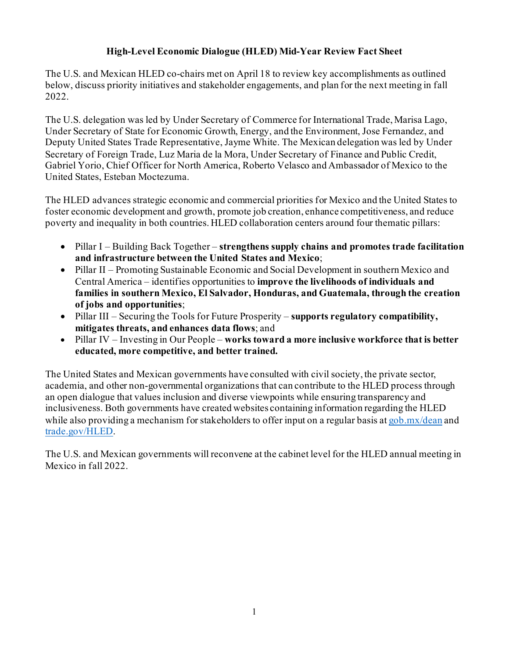## **High-Level Economic Dialogue (HLED) Mid-Year Review Fact Sheet**

The U.S. and Mexican HLED co-chairs met on April 18 to review key accomplishments as outlined below, discuss priority initiatives and stakeholder engagements, and plan for the next meeting in fall 2022.

The U.S. delegation was led by Under Secretary of Commerce for International Trade, Marisa Lago, Under Secretary of State for Economic Growth, Energy, and the Environment, Jose Fernandez, and Deputy United States Trade Representative, Jayme White. The Mexican delegation was led by Under Secretary of Foreign Trade, Luz Maria de la Mora, Under Secretary of Finance and Public Credit, Gabriel Yorio, Chief Officer for North America, Roberto Velasco and Ambassador of Mexico to the United States, Esteban Moctezuma.

The HLED advances strategic economic and commercial priorities for Mexico and the United States to foster economic development and growth, promote job creation, enhance competitiveness, and reduce poverty and inequality in both countries. HLED collaboration centers around four thematic pillars:

- Pillar I Building Back Together **strengthens supply chains and promotes trade facilitation and infrastructure between the United States and Mexico**;
- Pillar II Promoting Sustainable Economic and Social Development in southern Mexico and Central America – identifies opportunities to **improve the livelihoods of individuals and families in southern Mexico, El Salvador, Honduras, and Guatemala, through the creation of jobs and opportunities**;
- Pillar III Securing the Tools for Future Prosperity **supports regulatory compatibility, mitigates threats, and enhances data flows**; and
- Pillar IV Investing in Our People **works toward a more inclusive workforce that is better educated, more competitive, and better trained.**

The United States and Mexican governments have consulted with civil society, the private sector, academia, and other non-governmental organizations that can contribute to the HLED process through an open dialogue that values inclusion and diverse viewpoints while ensuring transparency and inclusiveness. Both governments have created websites containing information regarding the HLED while also providing a mechanism for stakeholders to offer input on a regular basis a[t gob.mx/dean](http://gob.mx/dean) and trade.gov/HLED.

The U.S. and Mexican governments will reconvene at the cabinet level for the HLED annual meeting in Mexico in fall 2022.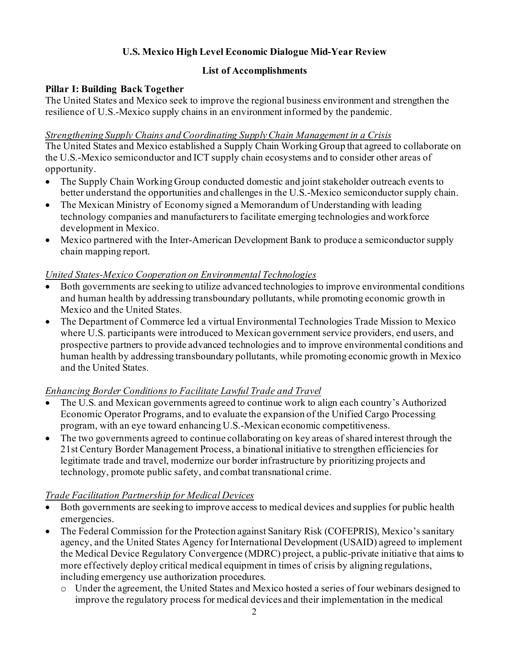# **U.S. Mexico High Level Economic Dialogue Mid-Year Review**

## **List of Accomplishments**

### **Pillar I: Building Back Together**

The United States and Mexico seek to improve the regional business environment and strengthen the resilience of U.S.-Mexico supply chains in an environment informed by the pandemic.

#### *Strengthening Supply Chains and Coordinating Supply Chain Management in a Crisis*

The United States and Mexico established a Supply Chain Working Group that agreed to collaborate on the U.S.-Mexico semiconductor and ICT supply chain ecosystems and to consider other areas of opportunity.

- The Supply Chain Working Group conducted domestic and joint stakeholder outreach events to better understand the opportunities and challenges in the U.S.-Mexico semiconductor supply chain.
- The Mexican Ministry of Economy signed a Memorandum of Understanding with leading technology companies and manufacturersto facilitate emerging technologies and workforce development in Mexico.
- Mexico partnered with the Inter-American Development Bank to produce a semiconductor supply chain mapping report.

### *United States-Mexico Cooperation on Environmental Technologies*

- Both governments are seeking to utilize advanced technologies to improve environmental conditions and human health by addressing transboundary pollutants, while promoting economic growth in Mexico and the United States.
- The Department of Commerce led a virtual Environmental Technologies Trade Mission to Mexico where U.S. participants were introduced to Mexican government service providers, end users, and prospective partners to provide advanced technologies and to improve environmental conditions and human health by addressing transboundary pollutants, while promoting economic growth in Mexico and the United States.

### *Enhancing Border Conditions to Facilitate Lawful Trade and Travel*

- The U.S. and Mexican governments agreed to continue work to align each country's Authorized Economic Operator Programs, and to evaluate the expansion of the Unified Cargo Processing program, with an eye toward enhancing U.S.-Mexican economic competitiveness.
- The two governments agreed to continue collaborating on key areas of shared interest through the 21st Century Border Management Process, a binational initiative to strengthen efficiencies for legitimate trade and travel, modernize our border infrastructure by prioritizing projects and technology, promote public safety, and combat transnational crime.

### *Trade Facilitation Partnership for Medical Devices*

- Both governments are seeking to improve access to medical devices and supplies for public health emergencies.
- The Federal Commission for the Protection against Sanitary Risk (COFEPRIS), Mexico's sanitary agency, and the United States Agency for International Development (USAID) agreed to implement the Medical Device Regulatory Convergence (MDRC) project, a public-private initiative that aims to more effectively deploy critical medical equipment in times of crisis by aligning regulations, including emergency use authorization procedures.
	- o Under the agreement, the United States and Mexico hosted a series of four webinars designed to improve the regulatory process for medical devices and their implementation in the medical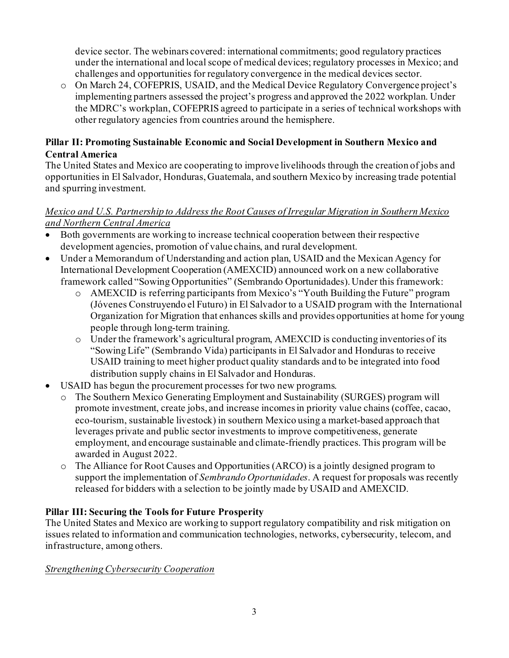device sector. The webinars covered: international commitments; good regulatory practices under the international and local scope of medical devices; regulatory processes in Mexico; and challenges and opportunities for regulatory convergence in the medical devices sector.

o On March 24, COFEPRIS, USAID, and the Medical Device Regulatory Convergence project's implementing partners assessed the project's progress and approved the 2022 workplan. Under the MDRC's workplan, COFEPRIS agreed to participate in a series of technical workshops with other regulatory agencies from countries around the hemisphere.

## **Pillar II: Promoting Sustainable Economic and Social Development in Southern Mexico and Central America**

The United States and Mexico are cooperating to improve livelihoods through the creation of jobs and opportunities in El Salvador, Honduras, Guatemala, and southern Mexico by increasing trade potential and spurring investment.

## *Mexico and U.S. Partnership to Address the Root Causes of Irregular Migration in Southern Mexico and Northern Central America*

- Both governments are working to increase technical cooperation between their respective development agencies, promotion of value chains, and rural development.
- Under a Memorandum of Understanding and action plan, USAID and the Mexican Agency for International Development Cooperation (AMEXCID) announced work on a new collaborative framework called "Sowing Opportunities" (Sembrando Oportunidades). Under this framework:
	- o AMEXCID is referring participants from Mexico's "Youth Building the Future" program (Jóvenes Construyendo el Futuro) in El Salvador to a USAID program with the International Organization for Migration that enhances skills and provides opportunities at home for young people through long-term training.
	- o Under the framework's agricultural program, AMEXCID is conducting inventories of its "Sowing Life" (Sembrando Vida) participants in El Salvador and Honduras to receive USAID training to meet higher product quality standards and to be integrated into food distribution supply chains in El Salvador and Honduras.
- USAID has begun the procurement processes for two new programs.
	- o The Southern Mexico Generating Employment and Sustainability (SURGES) program will promote investment, create jobs, and increase incomes in priority value chains (coffee, cacao, eco-tourism, sustainable livestock) in southern Mexico using a market-based approach that leverages private and public sector investments to improve competitiveness, generate employment, and encourage sustainable and climate-friendly practices.This program will be awarded in August 2022.
	- o The Alliance for Root Causes and Opportunities (ARCO) is a jointly designed program to support the implementation of *Sembrando Oportunidades*. A request for proposals was recently released for bidders with a selection to be jointly made by USAID and AMEXCID.

## **Pillar III: Securing the Tools for Future Prosperity**

The United States and Mexico are working to support regulatory compatibility and risk mitigation on issues related to information and communication technologies, networks, cybersecurity, telecom, and infrastructure, among others.

### *Strengthening Cybersecurity Cooperation*